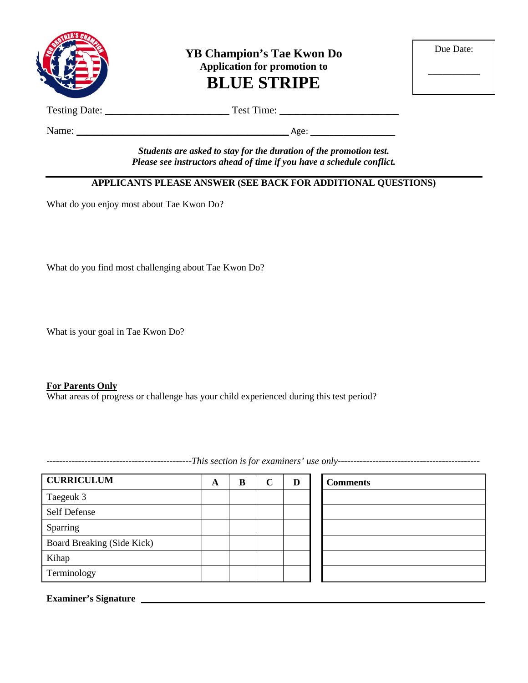

**YB Champion's Tae Kwon Do Application for promotion to BLUE STRIPE**

| Due Date: |  |
|-----------|--|
|           |  |

Testing Date: \_\_\_\_\_\_\_\_\_\_\_\_\_\_\_\_\_\_\_\_\_\_\_\_ Test Time: \_\_\_\_\_\_\_\_\_\_\_\_\_\_\_\_\_\_\_\_\_\_\_

Name: \_\_\_\_\_\_\_\_\_\_\_\_\_\_\_\_\_\_\_\_\_\_\_\_\_\_\_\_\_\_\_\_\_\_\_\_\_\_\_\_\_ Age: \_\_\_\_\_\_\_\_\_\_\_\_\_\_\_\_\_\_

*Students are asked to stay for the duration of the promotion test. Please see instructors ahead of time if you have a schedule conflict.*

### **APPLICANTS PLEASE ANSWER (SEE BACK FOR ADDITIONAL QUESTIONS)**

What do you enjoy most about Tae Kwon Do?

What do you find most challenging about Tae Kwon Do?

What is your goal in Tae Kwon Do?

#### **For Parents Only**

What areas of progress or challenge has your child experienced during this test period?

**CURRICULUM A B C D Comments** Taegeuk 3 Self Defense Sparring Board Breaking (Side Kick) Kihap Terminology

**Examiner's Signature**

----------------------------------------------*This section is for examiners' use only---------------------------------------------*